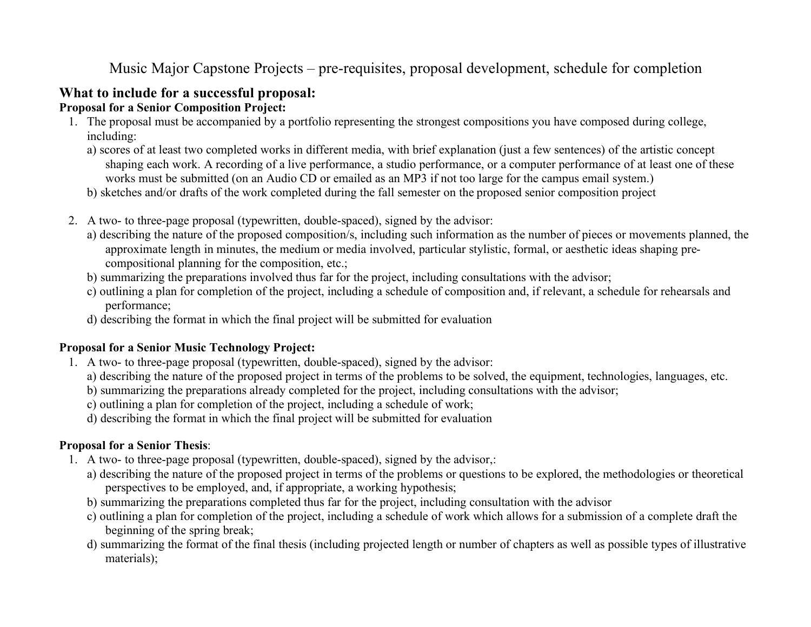# Music Major Capstone Projects – pre-requisites, proposal development, schedule for completion

### **What to include for a successful proposal:**

#### **Proposal for a Senior Composition Project:**

- 1. The proposal must be accompanied by a portfolio representing the strongest compositions you have composed during college, including:
	- a) scores of at least two completed works in different media, with brief explanation (just a few sentences) of the artistic concept shaping each work. A recording of a live performance, a studio performance, or a computer performance of at least one of these works must be submitted (on an Audio CD or emailed as an MP3 if not too large for the campus email system.)
	- b) sketches and/or drafts of the work completed during the fall semester on the proposed senior composition project
- 2. A two- to three-page proposal (typewritten, double-spaced), signed by the advisor:
	- a) describing the nature of the proposed composition/s, including such information as the number of pieces or movements planned, the approximate length in minutes, the medium or media involved, particular stylistic, formal, or aesthetic ideas shaping precompositional planning for the composition, etc.;
	- b) summarizing the preparations involved thus far for the project, including consultations with the advisor;
	- c) outlining a plan for completion of the project, including a schedule of composition and, if relevant, a schedule for rehearsals and performance;
	- d) describing the format in which the final project will be submitted for evaluation

#### **Proposal for a Senior Music Technology Project:**

- 1. A two- to three-page proposal (typewritten, double-spaced), signed by the advisor:
	- a) describing the nature of the proposed project in terms of the problems to be solved, the equipment, technologies, languages, etc.
	- b) summarizing the preparations already completed for the project, including consultations with the advisor;
	- c) outlining a plan for completion of the project, including a schedule of work;
	- d) describing the format in which the final project will be submitted for evaluation

#### **Proposal for a Senior Thesis**:

- 1. A two- to three-page proposal (typewritten, double-spaced), signed by the advisor,:
	- a) describing the nature of the proposed project in terms of the problems or questions to be explored, the methodologies or theoretical perspectives to be employed, and, if appropriate, a working hypothesis;
	- b) summarizing the preparations completed thus far for the project, including consultation with the advisor
	- c) outlining a plan for completion of the project, including a schedule of work which allows for a submission of a complete draft the beginning of the spring break;
	- d) summarizing the format of the final thesis (including projected length or number of chapters as well as possible types of illustrative materials);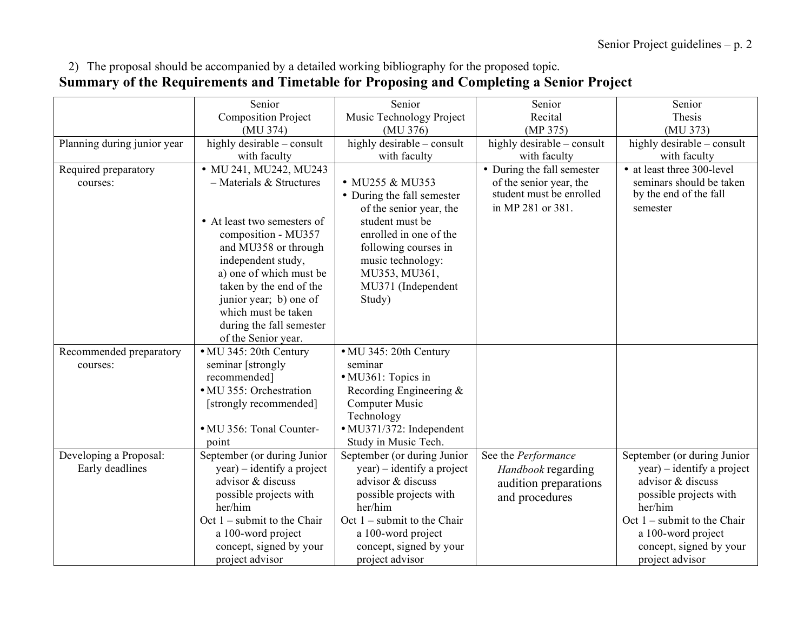## 2) The proposal should be accompanied by a detailed working bibliography for the proposed topic. **Summary of the Requirements and Timetable for Proposing and Completing a Senior Project**

|                             | Senior                        | Senior                                                | Senior                                        | Senior                             |
|-----------------------------|-------------------------------|-------------------------------------------------------|-----------------------------------------------|------------------------------------|
|                             | <b>Composition Project</b>    | Music Technology Project                              | Recital                                       | Thesis                             |
|                             | (MU 374)                      | (MU 376)                                              | (MP 375)                                      | (MU 373)                           |
| Planning during junior year | highly desirable – consult    | highly desirable – consult                            | highly desirable - consult                    | highly desirable - consult         |
|                             | with faculty                  | with faculty                                          | with faculty                                  | with faculty                       |
| Required preparatory        | • MU 241, MU242, MU243        |                                                       | • During the fall semester                    | • at least three 300-level         |
| courses:                    | $-$ Materials & Structures    | • MU255 & MU353                                       | of the senior year, the                       | seminars should be taken           |
|                             |                               | • During the fall semester<br>of the senior year, the | student must be enrolled<br>in MP 281 or 381. | by the end of the fall<br>semester |
|                             | • At least two semesters of   | student must be                                       |                                               |                                    |
|                             | composition - MU357           | enrolled in one of the                                |                                               |                                    |
|                             | and MU358 or through          | following courses in                                  |                                               |                                    |
|                             | independent study,            | music technology:                                     |                                               |                                    |
|                             | a) one of which must be       | MU353, MU361,                                         |                                               |                                    |
|                             | taken by the end of the       | MU371 (Independent                                    |                                               |                                    |
|                             | junior year; b) one of        | Study)                                                |                                               |                                    |
|                             | which must be taken           |                                                       |                                               |                                    |
|                             | during the fall semester      |                                                       |                                               |                                    |
|                             | of the Senior year.           |                                                       |                                               |                                    |
| Recommended preparatory     | • MU 345: 20th Century        | • MU 345: 20th Century                                |                                               |                                    |
| courses:                    | seminar [strongly             | seminar                                               |                                               |                                    |
|                             | recommended]                  | • MU361: Topics in                                    |                                               |                                    |
|                             | • MU 355: Orchestration       | Recording Engineering &<br>Computer Music             |                                               |                                    |
|                             | [strongly recommended]        | Technology                                            |                                               |                                    |
|                             | • MU 356: Tonal Counter-      | · MU371/372: Independent                              |                                               |                                    |
|                             | point                         | Study in Music Tech.                                  |                                               |                                    |
| Developing a Proposal:      | September (or during Junior   | September (or during Junior                           | See the Performance                           | September (or during Junior        |
| Early deadlines             | year) – identify a project    | $year) - identity a project$                          | Handbook regarding                            | $year) - identity a project$       |
|                             | advisor & discuss             | advisor & discuss                                     | audition preparations                         | advisor & discuss                  |
|                             | possible projects with        | possible projects with                                | and procedures                                | possible projects with             |
|                             | her/him                       | her/him                                               |                                               | her/him                            |
|                             | Oct $1$ – submit to the Chair | Oct $1$ – submit to the Chair                         |                                               | Oct $1$ – submit to the Chair      |
|                             | a 100-word project            | a 100-word project                                    |                                               | a 100-word project                 |
|                             | concept, signed by your       | concept, signed by your                               |                                               | concept, signed by your            |
|                             | project advisor               | project advisor                                       |                                               | project advisor                    |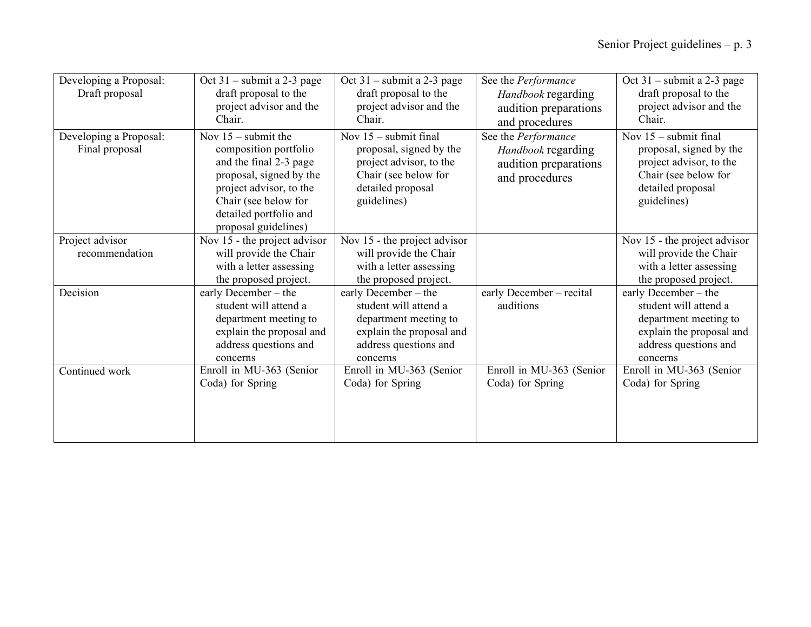| Developing a Proposal:<br>Draft proposal | Oct $31$ – submit a 2-3 page<br>draft proposal to the<br>project advisor and the<br>Chair.                                                                                                               | Oct $31$ – submit a 2-3 page<br>draft proposal to the<br>project advisor and the<br>Chair.                                                | See the Performance<br>Handbook regarding<br>audition preparations<br>and procedures | Oct $31$ – submit a 2-3 page<br>draft proposal to the<br>project advisor and the<br>Chair.                                                |
|------------------------------------------|----------------------------------------------------------------------------------------------------------------------------------------------------------------------------------------------------------|-------------------------------------------------------------------------------------------------------------------------------------------|--------------------------------------------------------------------------------------|-------------------------------------------------------------------------------------------------------------------------------------------|
| Developing a Proposal:<br>Final proposal | Nov $15$ – submit the<br>composition portfolio<br>and the final 2-3 page<br>proposal, signed by the<br>project advisor, to the<br>Chair (see below for<br>detailed portfolio and<br>proposal guidelines) | Nov $15$ – submit final<br>proposal, signed by the<br>project advisor, to the<br>Chair (see below for<br>detailed proposal<br>guidelines) | See the Performance<br>Handbook regarding<br>audition preparations<br>and procedures | Nov $15$ – submit final<br>proposal, signed by the<br>project advisor, to the<br>Chair (see below for<br>detailed proposal<br>guidelines) |
| Project advisor<br>recommendation        | Nov 15 - the project advisor<br>will provide the Chair<br>with a letter assessing<br>the proposed project.                                                                                               | Nov 15 - the project advisor<br>will provide the Chair<br>with a letter assessing<br>the proposed project.                                |                                                                                      | Nov 15 - the project advisor<br>will provide the Chair<br>with a letter assessing<br>the proposed project.                                |
| Decision                                 | early December – the<br>student will attend a<br>department meeting to<br>explain the proposal and<br>address questions and<br>concerns                                                                  | early December – the<br>student will attend a<br>department meeting to<br>explain the proposal and<br>address questions and<br>concerns   | early December - recital<br>auditions                                                | early December – the<br>student will attend a<br>department meeting to<br>explain the proposal and<br>address questions and<br>concerns   |
| Continued work                           | Enroll in MU-363 (Senior<br>Coda) for Spring                                                                                                                                                             | Enroll in MU-363 (Senior<br>Coda) for Spring                                                                                              | Enroll in MU-363 (Senior<br>Coda) for Spring                                         | Enroll in MU-363 (Senior<br>Coda) for Spring                                                                                              |